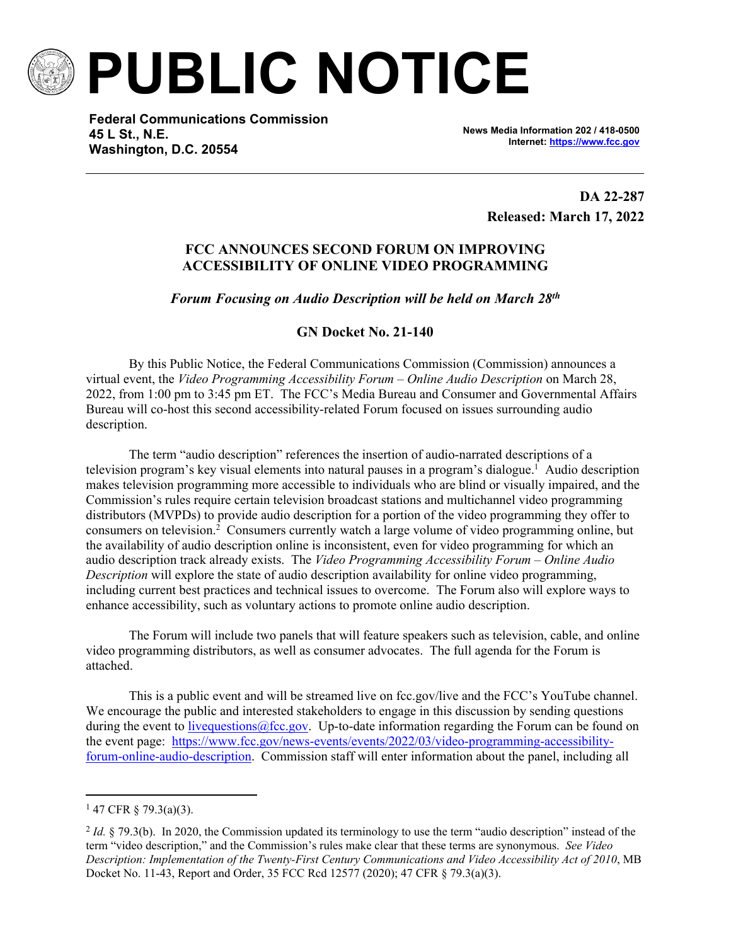

**PUBLIC NOTICE**

**Federal Communications Commission 45 L St., N.E. Washington, D.C. 20554**

**News Media Information 202 / 418-0500 Internet:<https://www.fcc.gov>**

> **DA 22-287 Released: March 17, 2022**

## **FCC ANNOUNCES SECOND FORUM ON IMPROVING ACCESSIBILITY OF ONLINE VIDEO PROGRAMMING**

*Forum Focusing on Audio Description will be held on March 28th*

**GN Docket No. 21-140**

By this Public Notice, the Federal Communications Commission (Commission) announces a virtual event, the *Video Programming Accessibility Forum – Online Audio Description* on March 28, 2022, from 1:00 pm to 3:45 pm ET. The FCC's Media Bureau and Consumer and Governmental Affairs Bureau will co-host this second accessibility-related Forum focused on issues surrounding audio description.

The term "audio description" references the insertion of audio-narrated descriptions of a television program's key visual elements into natural pauses in a program's dialogue.<sup>1</sup> Audio description makes television programming more accessible to individuals who are blind or visually impaired, and the Commission's rules require certain television broadcast stations and multichannel video programming distributors (MVPDs) to provide audio description for a portion of the video programming they offer to consumers on television.<sup>2</sup> Consumers currently watch a large volume of video programming online, but the availability of audio description online is inconsistent, even for video programming for which an audio description track already exists. The *Video Programming Accessibility Forum – Online Audio Description* will explore the state of audio description availability for online video programming, including current best practices and technical issues to overcome. The Forum also will explore ways to enhance accessibility, such as voluntary actions to promote online audio description.

The Forum will include two panels that will feature speakers such as television, cable, and online video programming distributors, as well as consumer advocates. The full agenda for the Forum is attached.

This is a public event and will be streamed live on fcc.gov/live and the FCC's YouTube channel. We encourage the public and interested stakeholders to engage in this discussion by sending questions during the event to livequestions  $@$  fcc.gov. Up-to-date information regarding the Forum can be found on the event page: [https://www.fcc.gov/news-events/events/2022/03/video-programming-accessibility](https://www.fcc.gov/news-events/events/2022/03/video-programming-accessibility-forum-online-audio-description)[forum-online-audio-description.](https://www.fcc.gov/news-events/events/2022/03/video-programming-accessibility-forum-online-audio-description) Commission staff will enter information about the panel, including all

 $147$  CFR § 79.3(a)(3).

 $2$  *Id.* § 79.3(b). In 2020, the Commission updated its terminology to use the term "audio description" instead of the term "video description," and the Commission's rules make clear that these terms are synonymous. *See Video Description: Implementation of the Twenty-First Century Communications and Video Accessibility Act of 2010*, MB Docket No. 11-43, Report and Order, 35 FCC Rcd 12577 (2020); 47 CFR § 79.3(a)(3).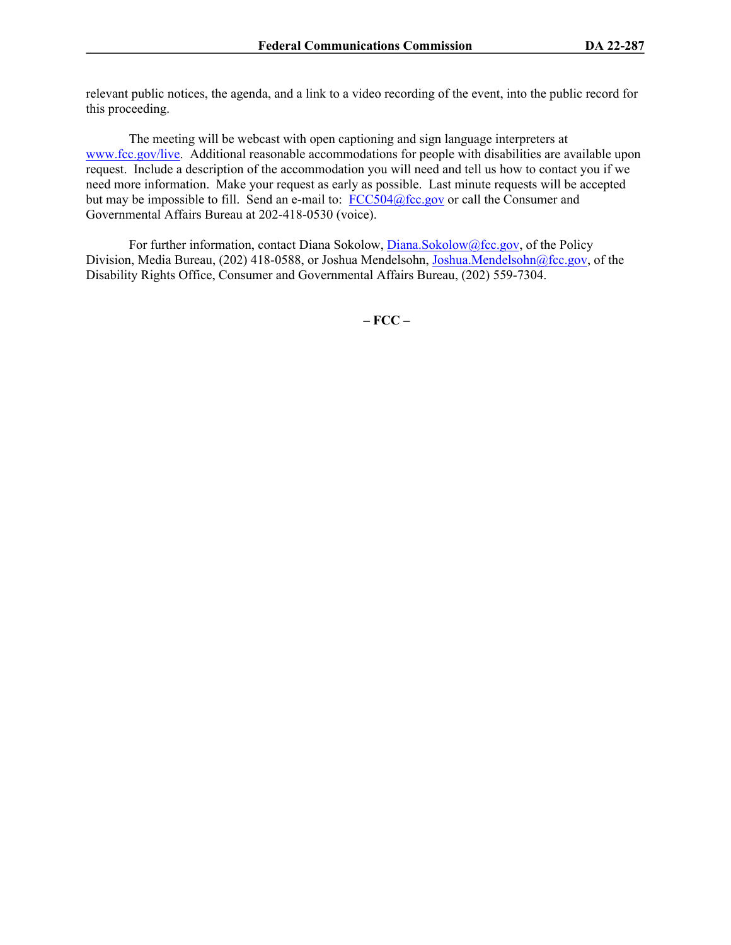relevant public notices, the agenda, and a link to a video recording of the event, into the public record for this proceeding.

The meeting will be webcast with open captioning and sign language interpreters at [www.fcc.gov/live.](http://www.fcc.gov/live) Additional reasonable accommodations for people with disabilities are available upon request. Include a description of the accommodation you will need and tell us how to contact you if we need more information. Make your request as early as possible. Last minute requests will be accepted but may be impossible to fill. Send an e-mail to:  $\frac{FCC504@fcc.gov}{200}$  $\frac{FCC504@fcc.gov}{200}$  $\frac{FCC504@fcc.gov}{200}$  or call the Consumer and Governmental Affairs Bureau at 202-418-0530 (voice).

For further information, contact Diana Sokolow, [Diana.Sokolow@fcc.gov](mailto:Diana.Sokolow@fcc.gov), of the Policy Division, Media Bureau, (202) 418-0588, or Joshua Mendelsohn, [Joshua.Mendelsohn@fcc.gov](mailto:Joshua.Mendelsohn@fcc.gov), of the Disability Rights Office, Consumer and Governmental Affairs Bureau, (202) 559-7304.

**– FCC –**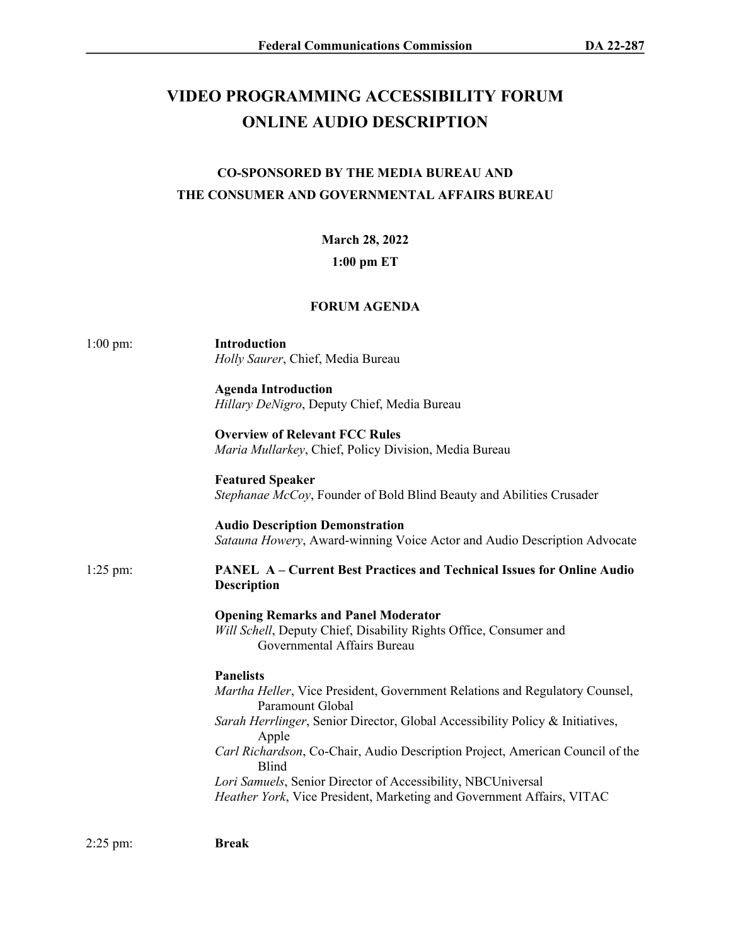# **VIDEO PROGRAMMING ACCESSIBILITY FORUM ONLINE AUDIO DESCRIPTION**

# **CO-SPONSORED BY THE MEDIA BUREAU AND THE CONSUMER AND GOVERNMENTAL AFFAIRS BUREAU**

### **March 28, 2022**

#### **1:00 pm ET**

# **FORUM AGENDA**

| $1:00$ pm: | <b>Introduction</b><br>Holly Saurer, Chief, Media Bureau                                                                                       |
|------------|------------------------------------------------------------------------------------------------------------------------------------------------|
|            | <b>Agenda Introduction</b><br>Hillary DeNigro, Deputy Chief, Media Bureau                                                                      |
|            | <b>Overview of Relevant FCC Rules</b><br>Maria Mullarkey, Chief, Policy Division, Media Bureau                                                 |
|            | <b>Featured Speaker</b><br>Stephanae McCoy, Founder of Bold Blind Beauty and Abilities Crusader                                                |
|            | <b>Audio Description Demonstration</b><br>Satauna Howery, Award-winning Voice Actor and Audio Description Advocate                             |
| $1:25$ pm: | <b>PANEL A-Current Best Practices and Technical Issues for Online Audio</b><br><b>Description</b>                                              |
|            | <b>Opening Remarks and Panel Moderator</b><br>Will Schell, Deputy Chief, Disability Rights Office, Consumer and<br>Governmental Affairs Bureau |
|            | <b>Panelists</b>                                                                                                                               |
|            | Martha Heller, Vice President, Government Relations and Regulatory Counsel,<br>Paramount Global                                                |
|            | Sarah Herrlinger, Senior Director, Global Accessibility Policy & Initiatives,<br>Apple                                                         |
|            | Carl Richardson, Co-Chair, Audio Description Project, American Council of the<br><b>Blind</b>                                                  |
|            | Lori Samuels, Senior Director of Accessibility, NBCUniversal                                                                                   |
|            | Heather York, Vice President, Marketing and Government Affairs, VITAC                                                                          |
|            |                                                                                                                                                |

2:25 pm: **Break**